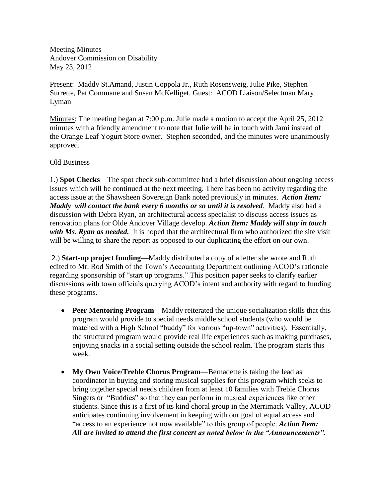Meeting Minutes Andover Commission on Disability May 23, 2012

Present: Maddy St.Amand, Justin Coppola Jr., Ruth Rosensweig, Julie Pike, Stephen Surrette, Pat Commane and Susan McKelliget. Guest: ACOD Liaison/Selectman Mary Lyman

Minutes: The meeting began at 7:00 p.m. Julie made a motion to accept the April 25, 2012 minutes with a friendly amendment to note that Julie will be in touch with Jami instead of the Orange Leaf Yogurt Store owner. Stephen seconded, and the minutes were unanimously approved.

## Old Business

1.) **Spot Checks**—The spot check sub-committee had a brief discussion about ongoing access issues which will be continued at the next meeting. There has been no activity regarding the access issue at the Shawsheen Sovereign Bank noted previously in minutes. *Action Item: Maddy will contact the bank every 6 months or so until it is resolved*. Maddy also had a discussion with Debra Ryan, an architectural access specialist to discuss access issues as renovation plans for Olde Andover Village develop. *Action Item: Maddy will stay in touch*  with Ms. Ryan as needed. It is hoped that the architectural firm who authorized the site visit will be willing to share the report as opposed to our duplicating the effort on our own.

2.) **Start-up project funding**—Maddy distributed a copy of a letter she wrote and Ruth edited to Mr. Rod Smith of the Town's Accounting Department outlining ACOD's rationale regarding sponsorship of "start up programs." This position paper seeks to clarify earlier discussions with town officials querying ACOD's intent and authority with regard to funding these programs.

- **Peer Mentoring Program**—Maddy reiterated the unique socialization skills that this program would provide to special needs middle school students (who would be matched with a High School "buddy" for various "up-town" activities). Essentially, the structured program would provide real life experiences such as making purchases, enjoying snacks in a social setting outside the school realm. The program starts this week.
- **My Own Voice/Treble Chorus Program**—Bernadette is taking the lead as coordinator in buying and storing musical supplies for this program which seeks to bring together special needs children from at least 10 families with Treble Chorus Singers or "Buddies" so that they can perform in musical experiences like other students. Since this is a first of its kind choral group in the Merrimack Valley, ACOD anticipates continuing involvement in keeping with our goal of equal access and "access to an experience not now available" to this group of people. *Action Item: All are invited to attend the first concert as noted below in the "Announcements".*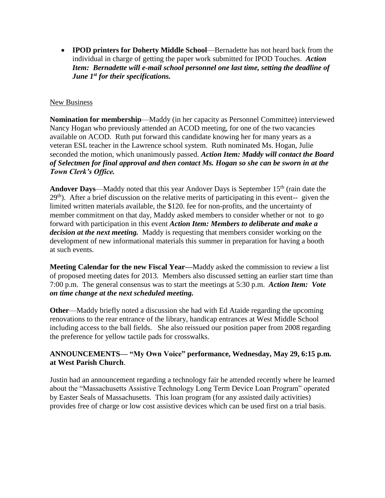**IPOD printers for Doherty Middle School**—Bernadette has not heard back from the individual in charge of getting the paper work submitted for IPOD Touches. *Action Item: Bernadette will e-mail school personnel one last time, setting the deadline of June 1st for their specifications.*

## New Business

**Nomination for membership**—Maddy (in her capacity as Personnel Committee) interviewed Nancy Hogan who previously attended an ACOD meeting, for one of the two vacancies available on ACOD. Ruth put forward this candidate knowing her for many years as a veteran ESL teacher in the Lawrence school system. Ruth nominated Ms. Hogan, Julie seconded the motion, which unanimously passed. *Action Item: Maddy will contact the Board of Selectmen for final approval and then contact Ms. Hogan so she can be sworn in at the Town Clerk's Office.*

**Andover Days—Maddy noted that this year Andover Days is September 15<sup>th</sup> (rain date the** 29<sup>th</sup>). After a brief discussion on the relative merits of participating in this event-- given the limited written materials available, the \$120. fee for non-profits, and the uncertainty of member commitment on that day, Maddy asked members to consider whether or not to go forward with participation in this event *Action Item: Members to deliberate and make a decision at the next meeting.* Maddy is requesting that members consider working on the development of new informational materials this summer in preparation for having a booth at such events.

**Meeting Calendar for the new Fiscal Year—**Maddy asked the commission to review a list of proposed meeting dates for 2013. Members also discussed setting an earlier start time than 7:00 p.m. The general consensus was to start the meetings at 5:30 p.m. *Action Item: Vote on time change at the next scheduled meeting.*

**Other**—Maddy briefly noted a discussion she had with Ed Ataide regarding the upcoming renovations to the rear entrance of the library, handicap entrances at West Middle School including access to the ball fields. She also reissued our position paper from 2008 regarding the preference for yellow tactile pads for crosswalks.

## **ANNOUNCEMENTS— "My Own Voice" performance, Wednesday, May 29, 6:15 p.m. at West Parish Church**.

Justin had an announcement regarding a technology fair he attended recently where he learned about the "Massachusetts Assistive Technology Long Term Device Loan Program" operated by Easter Seals of Massachusetts. This loan program (for any assisted daily activities) provides free of charge or low cost assistive devices which can be used first on a trial basis.